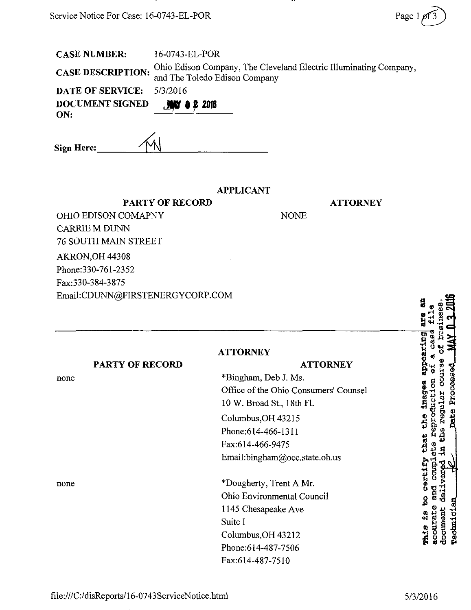| <b>CASE NUMBER:</b>             | 16-0743-EL-POR                |             |                                                                   |
|---------------------------------|-------------------------------|-------------|-------------------------------------------------------------------|
| <b>CASE DESCRIPTION:</b>        | and The Toledo Edison Company |             | Ohio Edison Company, The Cleveland Electric Illuminating Company, |
| <b>DATE OF SERVICE:</b>         | 5/3/2016                      |             |                                                                   |
| <b>DOCUMENT SIGNED</b><br>ON:   | $M = 0.22018$                 |             |                                                                   |
| Sign Here:                      |                               |             |                                                                   |
|                                 | <b>APPLICANT</b>              |             |                                                                   |
| <b>PARTY OF RECORD</b>          |                               |             | <b>ATTORNEY</b>                                                   |
| <b>OHIO EDISON COMAPNY</b>      |                               | <b>NONE</b> |                                                                   |
| <b>CARRIE M DUNN</b>            |                               |             |                                                                   |
| <b>76 SOUTH MAIN STREET</b>     |                               |             |                                                                   |
| AKRON, OH 44308                 |                               |             |                                                                   |
| Phone: 330-761-2352             |                               |             |                                                                   |
| Fax: 330-384-3875               |                               |             |                                                                   |
| Email:CDUNN@FIRSTENERGYCORP.COM |                               |             |                                                                   |

<u>ж.</u>

|                        | <b>ATTORNEY</b>                                               | izing                        |
|------------------------|---------------------------------------------------------------|------------------------------|
| <b>PARTY OF RECORD</b> | <b>ATTORNEY</b>                                               |                              |
| none                   | *Bingham, Deb J. Ms.<br>Office of the Ohio Consumers' Counsel | 5                            |
|                        | 10 W. Broad St., 18th Fl.                                     | <b>Lmag</b><br>$\frac{1}{2}$ |
|                        | Columbus, OH 43215                                            | era                          |
|                        | Phone: 614-466-1311                                           | မ္မ                          |
|                        | Fax:614-466-9475                                              | Ehat                         |
|                        | Email:bingham@occ.state.oh.us                                 |                              |
| none                   | *Dougherty, Trent A Mr.                                       | Certify<br><b>CROCO</b>      |
|                        | Ohio Environmental Council                                    | nd<br>S<br>ያ                 |
|                        | 1145 Chesapeake Ave                                           |                              |
|                        | Suite I                                                       | おめた                          |
|                        | Columbus, OH 43212                                            | <b>acou:</b><br><b>CONTE</b> |
|                        | Phone:614-487-7506                                            |                              |
|                        | Fax:614-487-7510                                              |                              |

 $\bullet$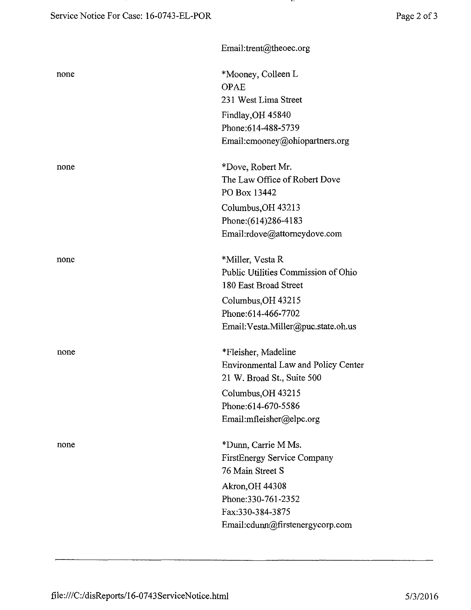...

|      | Email:trent@theoec.org                     |
|------|--------------------------------------------|
| none | *Mooney, Colleen L                         |
|      | <b>OPAE</b>                                |
|      | 231 West Lima Street                       |
|      | Findlay, OH 45840                          |
|      | Phone: 614-488-5739                        |
|      | Email: cmooney@ohiopartners.org            |
| none | *Dove, Robert Mr.                          |
|      | The Law Office of Robert Dove              |
|      | PO Box 13442                               |
|      | Columbus, OH 43213                         |
|      | Phone: (614) 286-4183                      |
|      | Email:rdove@attorneydove.com               |
| none | *Miller, Vesta R                           |
|      | Public Utilities Commission of Ohio        |
|      | 180 East Broad Street                      |
|      | Columbus, OH 43215                         |
|      | Phone: 614-466-7702                        |
|      | Email: Vesta.Miller@puc.state.oh.us        |
| none | *Fleisher, Madeline                        |
|      | <b>Environmental Law and Policy Center</b> |
|      | 21 W. Broad St., Suite 500                 |
|      | Columbus, OH 43215                         |
|      | Phone:614-670-5586                         |
|      | Email:mfleisher@elpc.org                   |
| none | *Dunn, Carrie M Ms.                        |
|      | <b>FirstEnergy Service Company</b>         |
|      | 76 Main Street S                           |
|      | Akron, OH 44308                            |
|      | Phone: 330-761-2352                        |
|      | Fax:330-384-3875                           |
|      | Email:cdunn@firstenergycorp.com            |